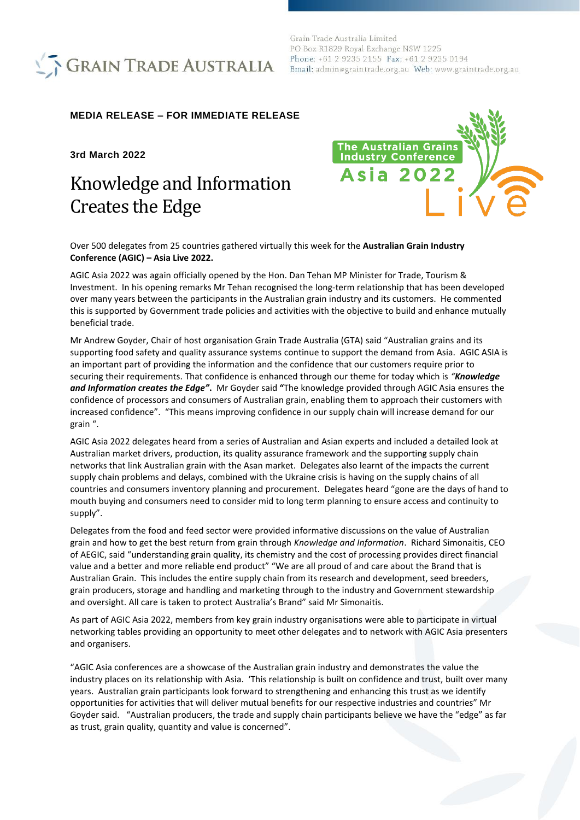

Grain Trade Australia Limited PO Box R1829 Royal Exchange NSW 1225

## **MEDIA RELEASE – FOR IMMEDIATE RELEASE**

**3rd March 2022**

# Knowledge and Information Creates the Edge



Over 500 delegates from 25 countries gathered virtually this week for the **Australian Grain Industry Conference (AGIC) – Asia Live 2022.** 

AGIC Asia 2022 was again officially opened by the Hon. Dan Tehan MP Minister for Trade, Tourism & Investment. In his opening remarks Mr Tehan recognised the long-term relationship that has been developed over many years between the participants in the Australian grain industry and its customers. He commented this is supported by Government trade policies and activities with the objective to build and enhance mutually beneficial trade.

Mr Andrew Goyder, Chair of host organisation Grain Trade Australia (GTA) said "Australian grains and its supporting food safety and quality assurance systems continue to support the demand from Asia. AGIC ASIA is an important part of providing the information and the confidence that our customers require prior to securing their requirements. That confidence is enhanced through our theme for today which is *"Knowledge and Information creates the Edge"***.** Mr Goyder said **"**The knowledge provided through AGIC Asia ensures the confidence of processors and consumers of Australian grain, enabling them to approach their customers with increased confidence". "This means improving confidence in our supply chain will increase demand for our grain ".

AGIC Asia 2022 delegates heard from a series of Australian and Asian experts and included a detailed look at Australian market drivers, production, its quality assurance framework and the supporting supply chain networks that link Australian grain with the Asan market. Delegates also learnt of the impacts the current supply chain problems and delays, combined with the Ukraine crisis is having on the supply chains of all countries and consumers inventory planning and procurement. Delegates heard "gone are the days of hand to mouth buying and consumers need to consider mid to long term planning to ensure access and continuity to supply".

Delegates from the food and feed sector were provided informative discussions on the value of Australian grain and how to get the best return from grain through *Knowledge and Information*. Richard Simonaitis, CEO of AEGIC, said "understanding grain quality, its chemistry and the cost of processing provides direct financial value and a better and more reliable end product" "We are all proud of and care about the Brand that is Australian Grain. This includes the entire supply chain from its research and development, seed breeders, grain producers, storage and handling and marketing through to the industry and Government stewardship and oversight. All care is taken to protect Australia's Brand" said Mr Simonaitis.

As part of AGIC Asia 2022, members from key grain industry organisations were able to participate in virtual networking tables providing an opportunity to meet other delegates and to network with AGIC Asia presenters and organisers.

"AGIC Asia conferences are a showcase of the Australian grain industry and demonstrates the value the industry places on its relationship with Asia. 'This relationship is built on confidence and trust, built over many years. Australian grain participants look forward to strengthening and enhancing this trust as we identify opportunities for activities that will deliver mutual benefits for our respective industries and countries" Mr Goyder said. "Australian producers, the trade and supply chain participants believe we have the "edge" as far as trust, grain quality, quantity and value is concerned".